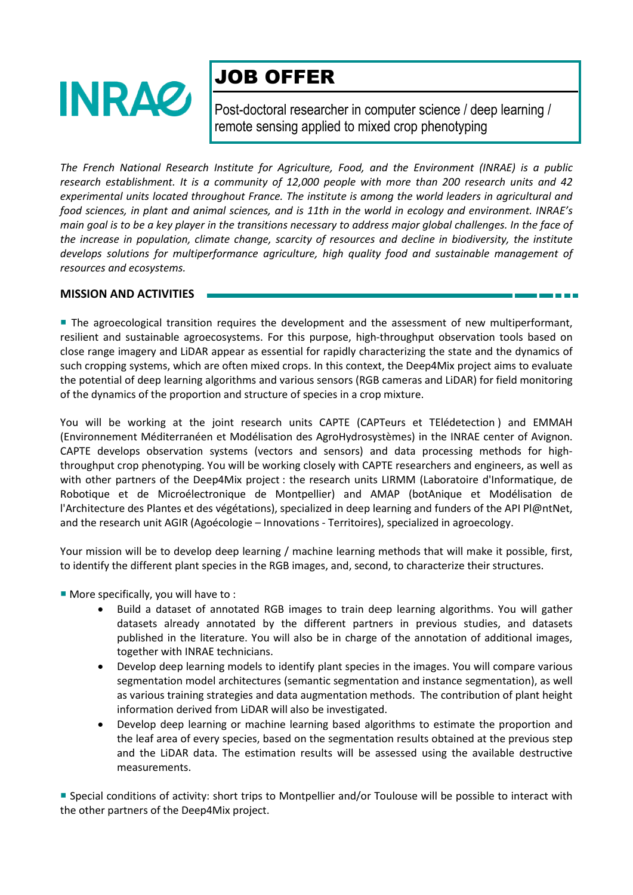

# JOB OFFER

Post-doctoral researcher in computer science / deep learning / remote sensing applied to mixed crop phenotyping

*The French National Research Institute for Agriculture, Food, and the Environment (INRAE) is a public research establishment. It is a community of 12,000 people with more than 200 research units and 42 experimental units located throughout France. The institute is among the world leaders in agricultural and food sciences, in plant and animal sciences, and is 11th in the world in ecology and environment. INRAE's main goal is to be a key player in the transitions necessary to address major global challenges. In the face of the increase in population, climate change, scarcity of resources and decline in biodiversity, the institute develops solutions for multiperformance agriculture, high quality food and sustainable management of resources and ecosystems.*

### **MISSION AND ACTIVITIES**

**The agroecological transition requires the development and the assessment of new multiperformant,** resilient and sustainable agroecosystems. For this purpose, high-throughput observation tools based on close range imagery and LiDAR appear as essential for rapidly characterizing the state and the dynamics of such cropping systems, which are often mixed crops. In this context, the Deep4Mix project aims to evaluate the potential of deep learning algorithms and various sensors (RGB cameras and LiDAR) for field monitoring of the dynamics of the proportion and structure of species in a crop mixture.

You will be working at the joint research units CAPTE (CAPTeurs et TElédetection ) and EMMAH (Environnement Méditerranéen et Modélisation des AgroHydrosystèmes) in the INRAE center of Avignon. CAPTE develops observation systems (vectors and sensors) and data processing methods for highthroughput crop phenotyping. You will be working closely with CAPTE researchers and engineers, as well as with other partners of the Deep4Mix project : the research units LIRMM (Laboratoire d'Informatique, de Robotique et de Microélectronique de Montpellier) and AMAP (botAnique et Modélisation de l'Architecture des Plantes et des végétations), specialized in deep learning and funders of the API Pl@ntNet, and the research unit AGIR (Agoécologie – Innovations - Territoires), specialized in agroecology.

Your mission will be to develop deep learning / machine learning methods that will make it possible, first, to identify the different plant species in the RGB images, and, second, to characterize their structures.

More specifically, you will have to :

- Build a dataset of annotated RGB images to train deep learning algorithms. You will gather datasets already annotated by the different partners in previous studies, and datasets published in the literature. You will also be in charge of the annotation of additional images, together with INRAE technicians.
- Develop deep learning models to identify plant species in the images. You will compare various segmentation model architectures (semantic segmentation and instance segmentation), as well as various training strategies and data augmentation methods. The contribution of plant height information derived from LiDAR will also be investigated.
- Develop deep learning or machine learning based algorithms to estimate the proportion and the leaf area of every species, based on the segmentation results obtained at the previous step and the LiDAR data. The estimation results will be assessed using the available destructive measurements.

 Special conditions of activity: short trips to Montpellier and/or Toulouse will be possible to interact with the other partners of the Deep4Mix project.